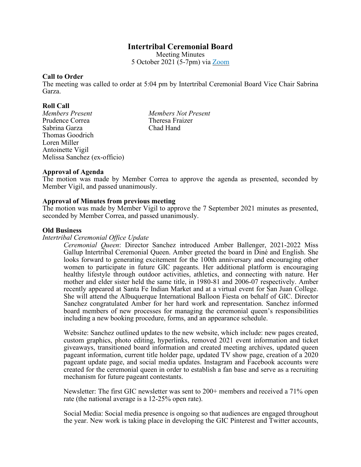# **Intertribal Ceremonial Board**

Meeting Minutes 5 October 2021 (5-7pm) via [Zoom](https://us06web.zoom.us/j/95362930802?pwd=QXhSU21zVEpMT0RpS0lrZnFDYmk0Zz09)

### **Call to Order**

The meeting was called to order at 5:04 pm by Intertribal Ceremonial Board Vice Chair Sabrina Garza.

**Roll Call** Prudence Correa Theresa Fraizer<br>
Sabrina Garza Chad Hand Sabrina Garza Thomas Goodrich Loren Miller Antoinette Vigil Melissa Sanchez (ex-officio)

*Members Present Members Not Present*

# **Approval of Agenda**

The motion was made by Member Correa to approve the agenda as presented, seconded by Member Vigil, and passed unanimously.

# **Approval of Minutes from previous meeting**

The motion was made by Member Vigil to approve the 7 September 2021 minutes as presented, seconded by Member Correa, and passed unanimously.

### **Old Business**

### *Intertribal Ceremonial Office Update*

*Ceremonial Queen*: Director Sanchez introduced Amber Ballenger, 2021-2022 Miss Gallup Intertribal Ceremonial Queen. Amber greeted the board in Diné and English. She looks forward to generating excitement for the 100th anniversary and encouraging other women to participate in future GIC pageants. Her additional platform is encouraging healthy lifestyle through outdoor activities, athletics, and connecting with nature. Her mother and elder sister held the same title, in 1980-81 and 2006-07 respectively. Amber recently appeared at Santa Fe Indian Market and at a virtual event for San Juan College. She will attend the Albuquerque International Balloon Fiesta on behalf of GIC. Director Sanchez congratulated Amber for her hard work and representation. Sanchez informed board members of new processes for managing the ceremonial queen's responsibilities including a new booking procedure, forms, and an appearance schedule.

Website: Sanchez outlined updates to the new website, which include: new pages created, custom graphics, photo editing, hyperlinks, removed 2021 event information and ticket giveaways, transitioned board information and created meeting archives, updated queen pageant information, current title holder page, updated TV show page, creation of a 2020 pageant update page, and social media updates. Instagram and Facebook accounts were created for the ceremonial queen in order to establish a fan base and serve as a recruiting mechanism for future pageant contestants.

Newsletter: The first GIC newsletter was sent to 200+ members and received a 71% open rate (the national average is a 12-25% open rate).

Social Media: Social media presence is ongoing so that audiences are engaged throughout the year. New work is taking place in developing the GIC Pinterest and Twitter accounts,